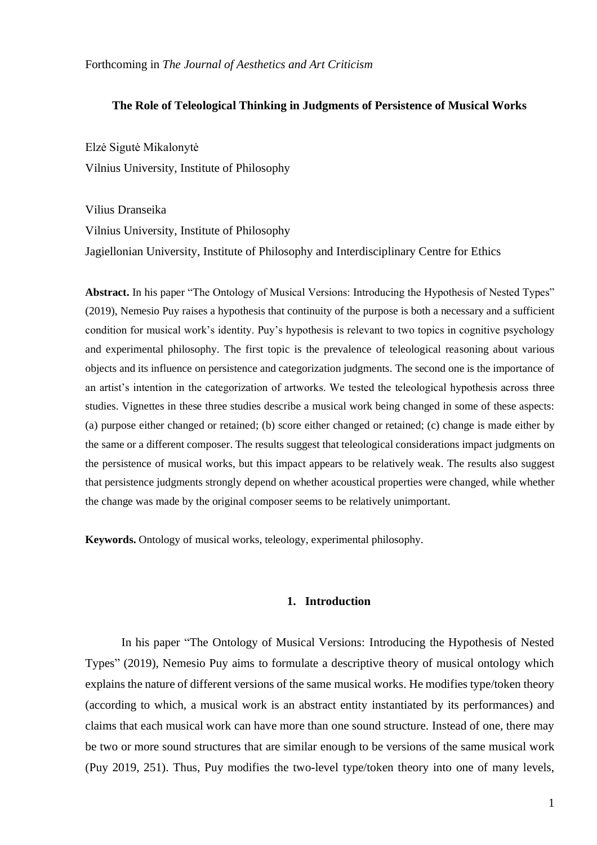### **The Role of Teleological Thinking in Judgments of Persistence of Musical Works**

Elzė Sigutė Mikalonytė Vilnius University, Institute of Philosophy

Vilius Dranseika Vilnius University, Institute of Philosophy Jagiellonian University, Institute of Philosophy and Interdisciplinary Centre for Ethics

**Abstract.** In his paper "The Ontology of Musical Versions: Introducing the Hypothesis of Nested Types" (2019), Nemesio Puy raises a hypothesis that continuity of the purpose is both a necessary and a sufficient condition for musical work's identity. Puy's hypothesis is relevant to two topics in cognitive psychology and experimental philosophy. The first topic is the prevalence of teleological reasoning about various objects and its influence on persistence and categorization judgments. The second one is the importance of an artist's intention in the categorization of artworks. We tested the teleological hypothesis across three studies. Vignettes in these three studies describe a musical work being changed in some of these aspects: (a) purpose either changed or retained; (b) score either changed or retained; (c) change is made either by the same or a different composer. The results suggest that teleological considerations impact judgments on the persistence of musical works, but this impact appears to be relatively weak. The results also suggest that persistence judgments strongly depend on whether acoustical properties were changed, while whether the change was made by the original composer seems to be relatively unimportant.

**Keywords.** Ontology of musical works, teleology, experimental philosophy.

## **1. Introduction**

In his paper "The Ontology of Musical Versions: Introducing the Hypothesis of Nested Types" (2019), Nemesio Puy aims to formulate a descriptive theory of musical ontology which explains the nature of different versions of the same musical works. He modifies type/token theory (according to which, a musical work is an abstract entity instantiated by its performances) and claims that each musical work can have more than one sound structure. Instead of one, there may be two or more sound structures that are similar enough to be versions of the same musical work (Puy 2019, 251). Thus, Puy modifies the two-level type/token theory into one of many levels,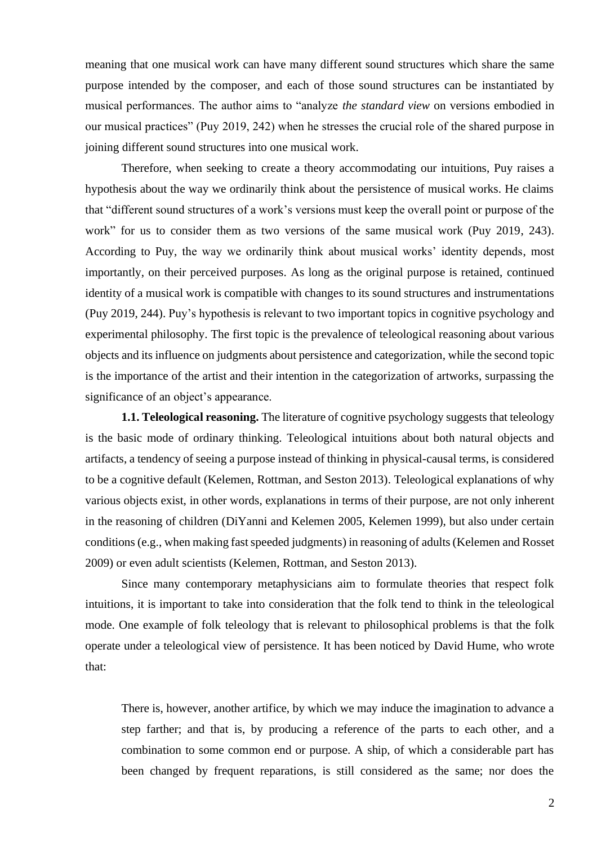meaning that one musical work can have many different sound structures which share the same purpose intended by the composer, and each of those sound structures can be instantiated by musical performances. The author aims to "analyze *the standard view* on versions embodied in our musical practices" (Puy 2019, 242) when he stresses the crucial role of the shared purpose in joining different sound structures into one musical work.

Therefore, when seeking to create a theory accommodating our intuitions, Puy raises a hypothesis about the way we ordinarily think about the persistence of musical works. He claims that "different sound structures of a work's versions must keep the overall point or purpose of the work" for us to consider them as two versions of the same musical work (Puy 2019, 243). According to Puy, the way we ordinarily think about musical works' identity depends, most importantly, on their perceived purposes. As long as the original purpose is retained, continued identity of a musical work is compatible with changes to its sound structures and instrumentations (Puy 2019, 244). Puy's hypothesis is relevant to two important topics in cognitive psychology and experimental philosophy. The first topic is the prevalence of teleological reasoning about various objects and its influence on judgments about persistence and categorization, while the second topic is the importance of the artist and their intention in the categorization of artworks, surpassing the significance of an object's appearance.

**1.1. Teleological reasoning.** The literature of cognitive psychology suggests that teleology is the basic mode of ordinary thinking. Teleological intuitions about both natural objects and artifacts, a tendency of seeing a purpose instead of thinking in physical-causal terms, is considered to be a cognitive default (Kelemen, Rottman, and Seston 2013). Teleological explanations of why various objects exist, in other words, explanations in terms of their purpose, are not only inherent in the reasoning of children (DiYanni and Kelemen 2005, Kelemen 1999), but also under certain conditions (e.g., when making fast speeded judgments) in reasoning of adults (Kelemen and Rosset 2009) or even adult scientists (Kelemen, Rottman, and Seston 2013).

Since many contemporary metaphysicians aim to formulate theories that respect folk intuitions, it is important to take into consideration that the folk tend to think in the teleological mode. One example of folk teleology that is relevant to philosophical problems is that the folk operate under a teleological view of persistence. It has been noticed by David Hume, who wrote that:

There is, however, another artifice, by which we may induce the imagination to advance a step farther; and that is, by producing a reference of the parts to each other, and a combination to some common end or purpose. A ship, of which a considerable part has been changed by frequent reparations, is still considered as the same; nor does the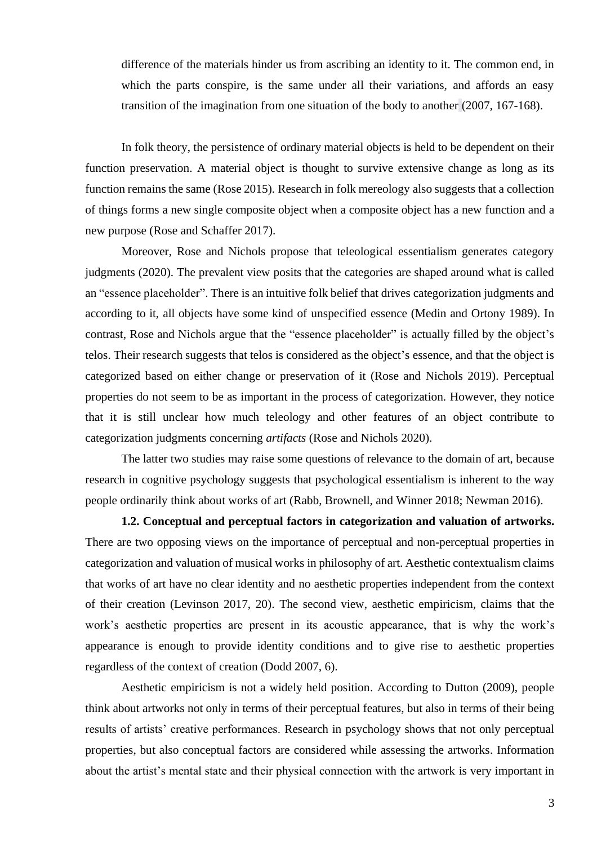difference of the materials hinder us from ascribing an identity to it. The common end, in which the parts conspire, is the same under all their variations, and affords an easy transition of the imagination from one situation of the body to another (2007, 167-168).

In folk theory, the persistence of ordinary material objects is held to be dependent on their function preservation. A material object is thought to survive extensive change as long as its function remains the same (Rose 2015). Research in folk mereology also suggests that a collection of things forms a new single composite object when a composite object has a new function and a new purpose (Rose and Schaffer 2017).

Moreover, Rose and Nichols propose that teleological essentialism generates category judgments (2020). The prevalent view posits that the categories are shaped around what is called an "essence placeholder". There is an intuitive folk belief that drives categorization judgments and according to it, all objects have some kind of unspecified essence (Medin and Ortony 1989). In contrast, Rose and Nichols argue that the "essence placeholder" is actually filled by the object's telos. Their research suggests that telos is considered as the object's essence, and that the object is categorized based on either change or preservation of it (Rose and Nichols 2019). Perceptual properties do not seem to be as important in the process of categorization. However, they notice that it is still unclear how much teleology and other features of an object contribute to categorization judgments concerning *artifacts* (Rose and Nichols 2020).

The latter two studies may raise some questions of relevance to the domain of art, because research in cognitive psychology suggests that psychological essentialism is inherent to the way people ordinarily think about works of art (Rabb, Brownell, and Winner 2018; Newman 2016).

**1.2. Conceptual and perceptual factors in categorization and valuation of artworks.** There are two opposing views on the importance of perceptual and non-perceptual properties in categorization and valuation of musical works in philosophy of art. Aesthetic contextualism claims that works of art have no clear identity and no aesthetic properties independent from the context of their creation (Levinson 2017, 20). The second view, aesthetic empiricism, claims that the work's aesthetic properties are present in its acoustic appearance, that is why the work's appearance is enough to provide identity conditions and to give rise to aesthetic properties regardless of the context of creation (Dodd 2007, 6).

Aesthetic empiricism is not a widely held position. According to Dutton (2009), people think about artworks not only in terms of their perceptual features, but also in terms of their being results of artists' creative performances. Research in psychology shows that not only perceptual properties, but also conceptual factors are considered while assessing the artworks. Information about the artist's mental state and their physical connection with the artwork is very important in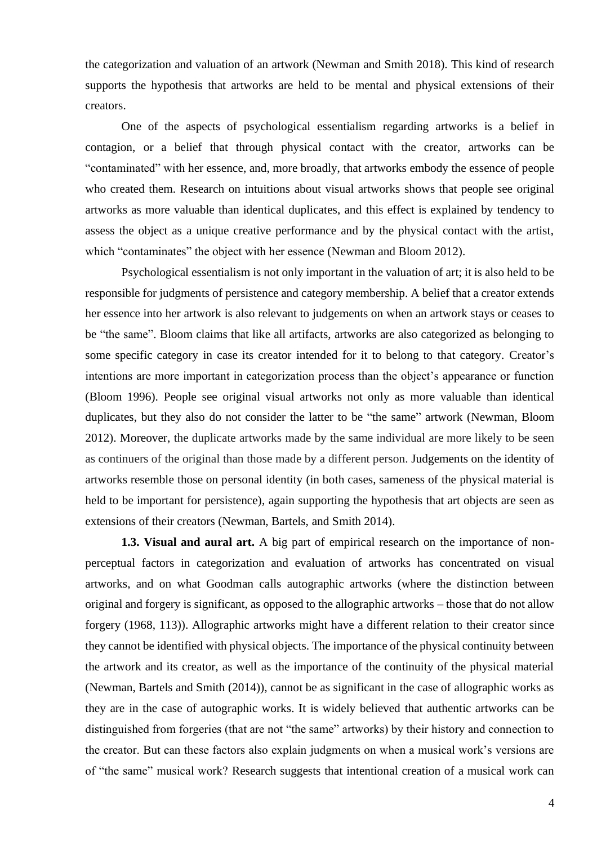the categorization and valuation of an artwork (Newman and Smith 2018). This kind of research supports the hypothesis that artworks are held to be mental and physical extensions of their creators.

One of the aspects of psychological essentialism regarding artworks is a belief in contagion, or a belief that through physical contact with the creator, artworks can be "contaminated" with her essence, and, more broadly, that artworks embody the essence of people who created them. Research on intuitions about visual artworks shows that people see original artworks as more valuable than identical duplicates, and this effect is explained by tendency to assess the object as a unique creative performance and by the physical contact with the artist, which "contaminates" the object with her essence (Newman and Bloom 2012).

Psychological essentialism is not only important in the valuation of art; it is also held to be responsible for judgments of persistence and category membership. A belief that a creator extends her essence into her artwork is also relevant to judgements on when an artwork stays or ceases to be "the same". Bloom claims that like all artifacts, artworks are also categorized as belonging to some specific category in case its creator intended for it to belong to that category. Creator's intentions are more important in categorization process than the object's appearance or function (Bloom 1996). People see original visual artworks not only as more valuable than identical duplicates, but they also do not consider the latter to be "the same" artwork (Newman, Bloom 2012). Moreover, the duplicate artworks made by the same individual are more likely to be seen as continuers of the original than those made by a different person. Judgements on the identity of artworks resemble those on personal identity (in both cases, sameness of the physical material is held to be important for persistence), again supporting the hypothesis that art objects are seen as extensions of their creators (Newman, Bartels, and Smith 2014).

**1.3. Visual and aural art.** A big part of empirical research on the importance of nonperceptual factors in categorization and evaluation of artworks has concentrated on visual artworks, and on what Goodman calls autographic artworks (where the distinction between original and forgery is significant, as opposed to the allographic artworks – those that do not allow forgery (1968, 113)). Allographic artworks might have a different relation to their creator since they cannot be identified with physical objects. The importance of the physical continuity between the artwork and its creator, as well as the importance of the continuity of the physical material (Newman, Bartels and Smith (2014)), cannot be as significant in the case of allographic works as they are in the case of autographic works. It is widely believed that authentic artworks can be distinguished from forgeries (that are not "the same" artworks) by their history and connection to the creator. But can these factors also explain judgments on when a musical work's versions are of "the same" musical work? Research suggests that intentional creation of a musical work can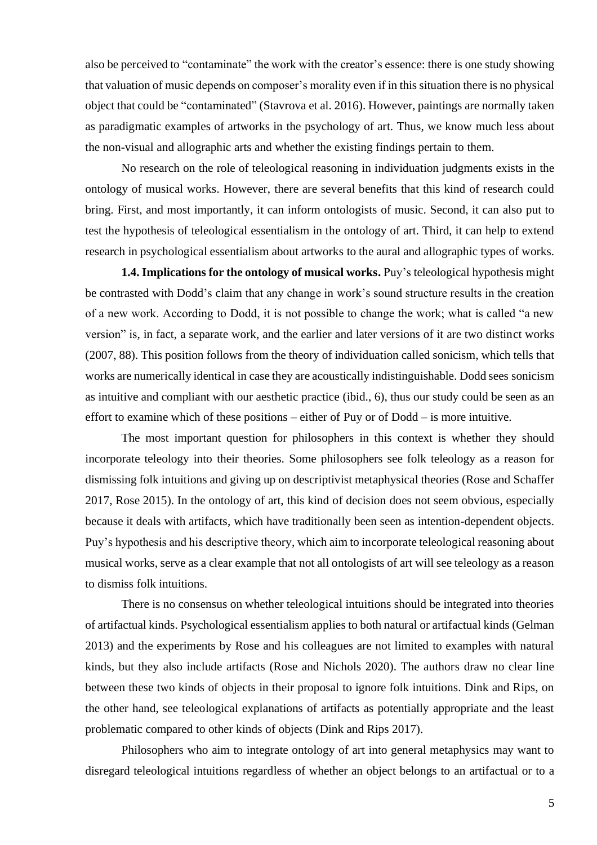also be perceived to "contaminate" the work with the creator's essence: there is one study showing that valuation of music depends on composer's morality even if in this situation there is no physical object that could be "contaminated" (Stavrova et al. 2016). However, paintings are normally taken as paradigmatic examples of artworks in the psychology of art. Thus, we know much less about the non-visual and allographic arts and whether the existing findings pertain to them.

No research on the role of teleological reasoning in individuation judgments exists in the ontology of musical works. However, there are several benefits that this kind of research could bring. First, and most importantly, it can inform ontologists of music. Second, it can also put to test the hypothesis of teleological essentialism in the ontology of art. Third, it can help to extend research in psychological essentialism about artworks to the aural and allographic types of works.

**1.4. Implications for the ontology of musical works.** Puy's teleological hypothesis might be contrasted with Dodd's claim that any change in work's sound structure results in the creation of a new work. According to Dodd, it is not possible to change the work; what is called "a new version" is, in fact, a separate work, and the earlier and later versions of it are two distinct works (2007, 88). This position follows from the theory of individuation called sonicism, which tells that works are numerically identical in case they are acoustically indistinguishable. Dodd sees sonicism as intuitive and compliant with our aesthetic practice (ibid., 6), thus our study could be seen as an effort to examine which of these positions – either of Puy or of Dodd – is more intuitive.

The most important question for philosophers in this context is whether they should incorporate teleology into their theories. Some philosophers see folk teleology as a reason for dismissing folk intuitions and giving up on descriptivist metaphysical theories (Rose and Schaffer 2017, Rose 2015). In the ontology of art, this kind of decision does not seem obvious, especially because it deals with artifacts, which have traditionally been seen as intention-dependent objects. Puy's hypothesis and his descriptive theory, which aim to incorporate teleological reasoning about musical works, serve as a clear example that not all ontologists of art will see teleology as a reason to dismiss folk intuitions.

There is no consensus on whether teleological intuitions should be integrated into theories of artifactual kinds. Psychological essentialism applies to both natural or artifactual kinds (Gelman 2013) and the experiments by Rose and his colleagues are not limited to examples with natural kinds, but they also include artifacts (Rose and Nichols 2020). The authors draw no clear line between these two kinds of objects in their proposal to ignore folk intuitions. Dink and Rips, on the other hand, see teleological explanations of artifacts as potentially appropriate and the least problematic compared to other kinds of objects (Dink and Rips 2017).

Philosophers who aim to integrate ontology of art into general metaphysics may want to disregard teleological intuitions regardless of whether an object belongs to an artifactual or to a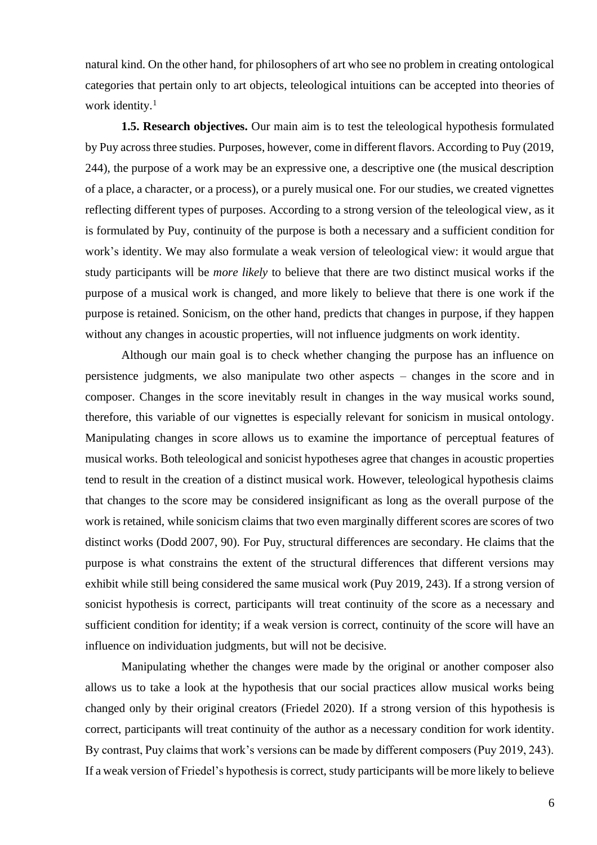natural kind. On the other hand, for philosophers of art who see no problem in creating ontological categories that pertain only to art objects, teleological intuitions can be accepted into theories of work identity.<sup>1</sup>

**1.5. Research objectives.** Our main aim is to test the teleological hypothesis formulated by Puy across three studies. Purposes, however, come in different flavors. According to Puy (2019, 244), the purpose of a work may be an expressive one, a descriptive one (the musical description of a place, a character, or a process), or a purely musical one. For our studies, we created vignettes reflecting different types of purposes. According to a strong version of the teleological view, as it is formulated by Puy, continuity of the purpose is both a necessary and a sufficient condition for work's identity. We may also formulate a weak version of teleological view: it would argue that study participants will be *more likely* to believe that there are two distinct musical works if the purpose of a musical work is changed, and more likely to believe that there is one work if the purpose is retained. Sonicism, on the other hand, predicts that changes in purpose, if they happen without any changes in acoustic properties, will not influence judgments on work identity.

Although our main goal is to check whether changing the purpose has an influence on persistence judgments, we also manipulate two other aspects – changes in the score and in composer. Changes in the score inevitably result in changes in the way musical works sound, therefore, this variable of our vignettes is especially relevant for sonicism in musical ontology. Manipulating changes in score allows us to examine the importance of perceptual features of musical works. Both teleological and sonicist hypotheses agree that changes in acoustic properties tend to result in the creation of a distinct musical work. However, teleological hypothesis claims that changes to the score may be considered insignificant as long as the overall purpose of the work is retained, while sonicism claims that two even marginally different scores are scores of two distinct works (Dodd 2007, 90). For Puy, structural differences are secondary. He claims that the purpose is what constrains the extent of the structural differences that different versions may exhibit while still being considered the same musical work (Puy 2019, 243). If a strong version of sonicist hypothesis is correct, participants will treat continuity of the score as a necessary and sufficient condition for identity; if a weak version is correct, continuity of the score will have an influence on individuation judgments, but will not be decisive.

Manipulating whether the changes were made by the original or another composer also allows us to take a look at the hypothesis that our social practices allow musical works being changed only by their original creators (Friedel 2020). If a strong version of this hypothesis is correct, participants will treat continuity of the author as a necessary condition for work identity. By contrast, Puy claims that work's versions can be made by different composers (Puy 2019, 243). If a weak version of Friedel's hypothesis is correct, study participants will be more likely to believe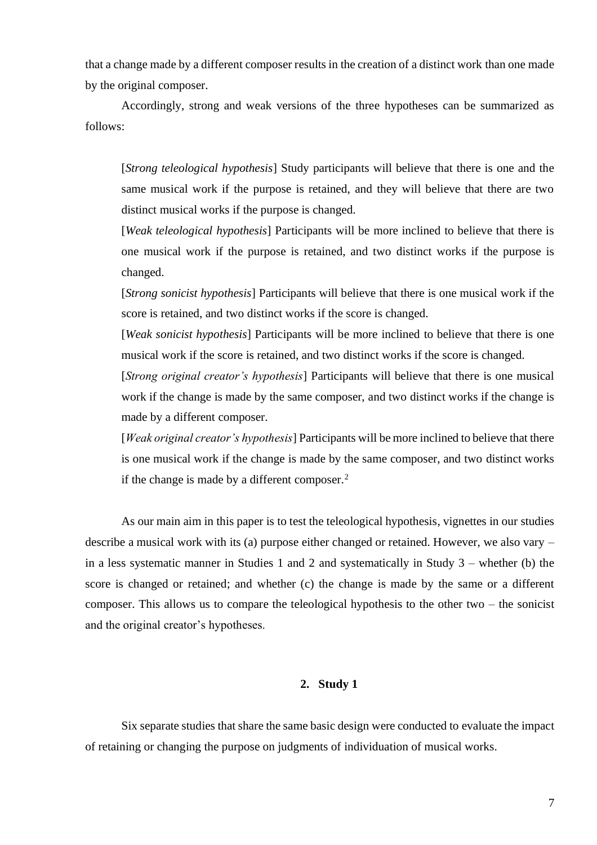that a change made by a different composer results in the creation of a distinct work than one made by the original composer.

Accordingly, strong and weak versions of the three hypotheses can be summarized as follows:

[*Strong teleological hypothesis*] Study participants will believe that there is one and the same musical work if the purpose is retained, and they will believe that there are two distinct musical works if the purpose is changed.

[*Weak teleological hypothesis*] Participants will be more inclined to believe that there is one musical work if the purpose is retained, and two distinct works if the purpose is changed.

[*Strong sonicist hypothesis*] Participants will believe that there is one musical work if the score is retained, and two distinct works if the score is changed.

[*Weak sonicist hypothesis*] Participants will be more inclined to believe that there is one musical work if the score is retained, and two distinct works if the score is changed.

[*Strong original creator's hypothesis*] Participants will believe that there is one musical work if the change is made by the same composer, and two distinct works if the change is made by a different composer.

[*Weak original creator's hypothesis*] Participants will be more inclined to believe that there is one musical work if the change is made by the same composer, and two distinct works if the change is made by a different composer. $<sup>2</sup>$ </sup>

As our main aim in this paper is to test the teleological hypothesis, vignettes in our studies describe a musical work with its (a) purpose either changed or retained. However, we also vary – in a less systematic manner in Studies 1 and 2 and systematically in Study 3 – whether (b) the score is changed or retained; and whether (c) the change is made by the same or a different composer. This allows us to compare the teleological hypothesis to the other two – the sonicist and the original creator's hypotheses.

## **2. Study 1**

Six separate studies that share the same basic design were conducted to evaluate the impact of retaining or changing the purpose on judgments of individuation of musical works.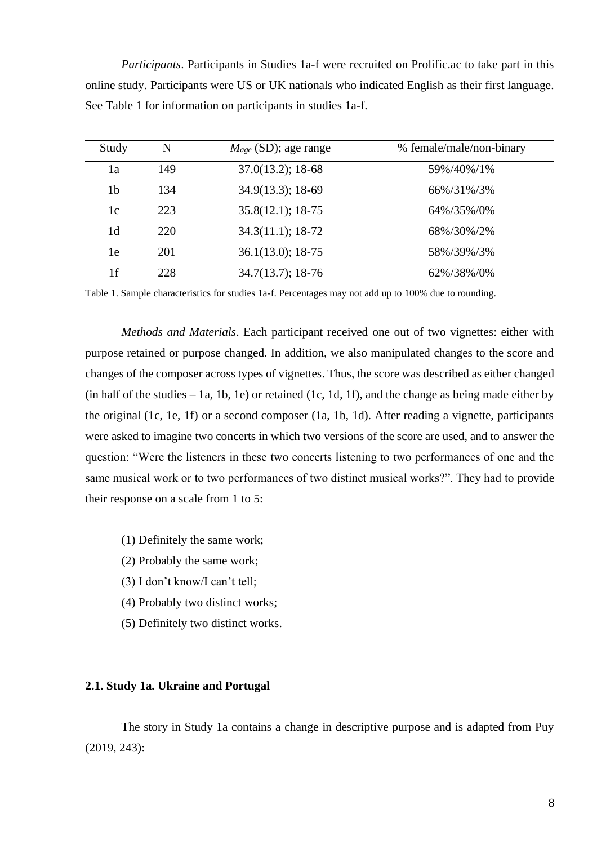*Participants*. Participants in Studies 1a-f were recruited on Prolific.ac to take part in this online study. Participants were US or UK nationals who indicated English as their first language. See Table 1 for information on participants in studies 1a-f.

| Study          | N   | $M_{age}$ (SD); age range | % female/male/non-binary |
|----------------|-----|---------------------------|--------------------------|
| 1a             | 149 | $37.0(13.2)$ ; 18-68      | 59%/40%/1%               |
| 1 <sub>b</sub> | 134 | $34.9(13.3); 18-69$       | 66%/31%/3%               |
| 1c             | 223 | $35.8(12.1); 18-75$       | 64%/35%/0%               |
| 1 <sub>d</sub> | 220 | $34.3(11.1); 18-72$       | 68%/30%/2%               |
| 1e             | 201 | $36.1(13.0); 18-75$       | 58%/39%/3%               |
| 1f             | 228 | $34.7(13.7); 18-76$       | 62%/38%/0%               |

Table 1. Sample characteristics for studies 1a-f. Percentages may not add up to 100% due to rounding.

*Methods and Materials*. Each participant received one out of two vignettes: either with purpose retained or purpose changed. In addition, we also manipulated changes to the score and changes of the composer across types of vignettes. Thus, the score was described as either changed (in half of the studies – 1a, 1b, 1e) or retained (1c, 1d, 1f), and the change as being made either by the original (1c, 1e, 1f) or a second composer (1a, 1b, 1d). After reading a vignette, participants were asked to imagine two concerts in which two versions of the score are used, and to answer the question: "Were the listeners in these two concerts listening to two performances of one and the same musical work or to two performances of two distinct musical works?". They had to provide their response on a scale from 1 to 5:

- (1) Definitely the same work;
- (2) Probably the same work;
- (3) I don't know/I can't tell;
- (4) Probably two distinct works;
- (5) Definitely two distinct works.

# **2.1. Study 1a. Ukraine and Portugal**

The story in Study 1a contains a change in descriptive purpose and is adapted from Puy (2019, 243):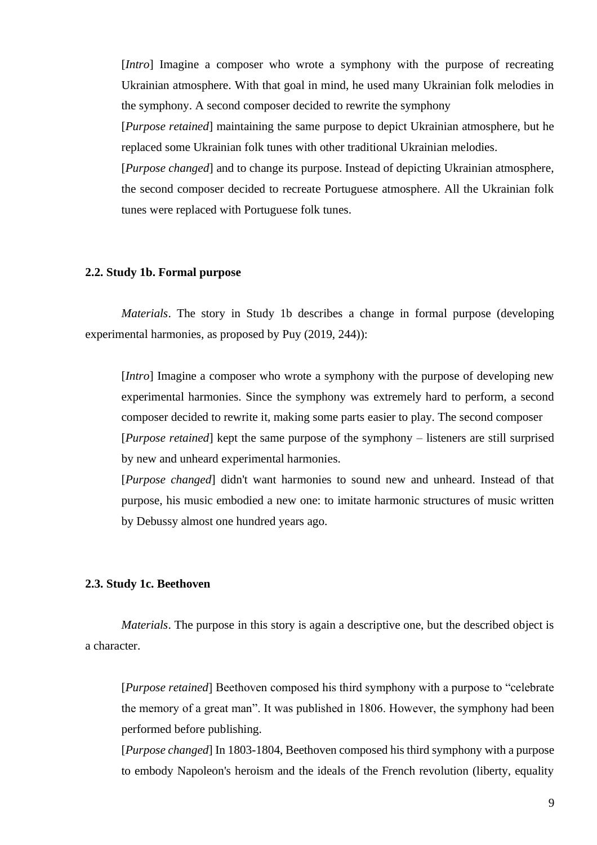[*Intro*] Imagine a composer who wrote a symphony with the purpose of recreating Ukrainian atmosphere. With that goal in mind, he used many Ukrainian folk melodies in the symphony. A second composer decided to rewrite the symphony

[*Purpose retained*] maintaining the same purpose to depict Ukrainian atmosphere, but he replaced some Ukrainian folk tunes with other traditional Ukrainian melodies.

[*Purpose changed*] and to change its purpose. Instead of depicting Ukrainian atmosphere, the second composer decided to recreate Portuguese atmosphere. All the Ukrainian folk tunes were replaced with Portuguese folk tunes.

### **2.2. Study 1b. Formal purpose**

*Materials*. The story in Study 1b describes a change in formal purpose (developing experimental harmonies, as proposed by Puy (2019, 244)):

[*Intro*] Imagine a composer who wrote a symphony with the purpose of developing new experimental harmonies. Since the symphony was extremely hard to perform, a second composer decided to rewrite it, making some parts easier to play. The second composer [*Purpose retained*] kept the same purpose of the symphony – listeners are still surprised by new and unheard experimental harmonies.

[*Purpose changed*] didn't want harmonies to sound new and unheard. Instead of that purpose, his music embodied a new one: to imitate harmonic structures of music written by Debussy almost one hundred years ago.

### **2.3. Study 1c. Beethoven**

*Materials*. The purpose in this story is again a descriptive one, but the described object is a character.

[*Purpose retained*] Beethoven composed his third symphony with a purpose to "celebrate the memory of a great man". It was published in 1806. However, the symphony had been performed before publishing.

[*Purpose changed*] In 1803-1804, Beethoven composed his third symphony with a purpose to embody Napoleon's heroism and the ideals of the French revolution (liberty, equality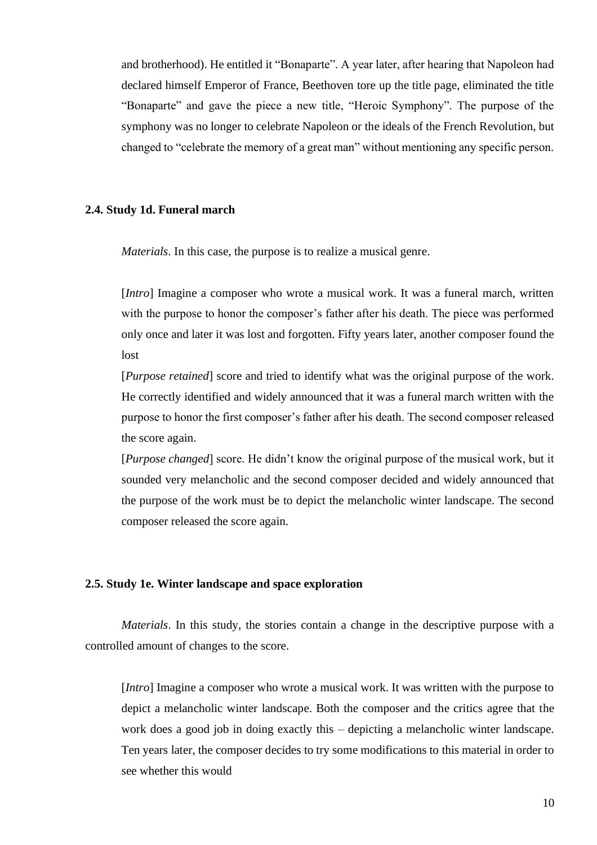and brotherhood). He entitled it "Bonaparte". A year later, after hearing that Napoleon had declared himself Emperor of France, Beethoven tore up the title page, eliminated the title "Bonaparte" and gave the piece a new title, "Heroic Symphony". The purpose of the symphony was no longer to celebrate Napoleon or the ideals of the French Revolution, but changed to "celebrate the memory of a great man" without mentioning any specific person.

#### **2.4. Study 1d. Funeral march**

*Materials*. In this case, the purpose is to realize a musical genre.

[*Intro*] Imagine a composer who wrote a musical work. It was a funeral march, written with the purpose to honor the composer's father after his death. The piece was performed only once and later it was lost and forgotten. Fifty years later, another composer found the lost

[*Purpose retained*] score and tried to identify what was the original purpose of the work. He correctly identified and widely announced that it was a funeral march written with the purpose to honor the first composer's father after his death. The second composer released the score again.

[*Purpose changed*] score. He didn't know the original purpose of the musical work, but it sounded very melancholic and the second composer decided and widely announced that the purpose of the work must be to depict the melancholic winter landscape. The second composer released the score again.

### **2.5. Study 1e. Winter landscape and space exploration**

*Materials*. In this study, the stories contain a change in the descriptive purpose with a controlled amount of changes to the score.

[*Intro*] Imagine a composer who wrote a musical work. It was written with the purpose to depict a melancholic winter landscape. Both the composer and the critics agree that the work does a good job in doing exactly this – depicting a melancholic winter landscape. Ten years later, the composer decides to try some modifications to this material in order to see whether this would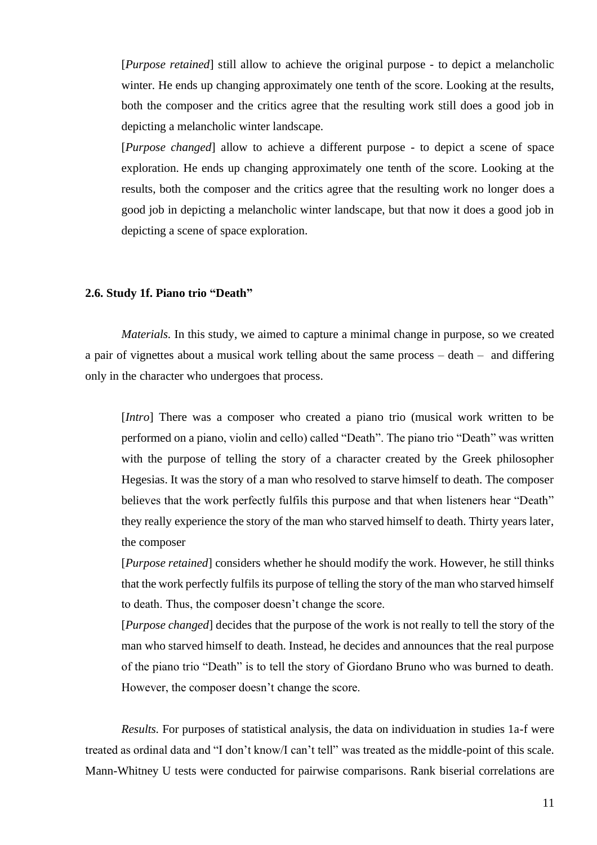[*Purpose retained*] still allow to achieve the original purpose - to depict a melancholic winter. He ends up changing approximately one tenth of the score. Looking at the results, both the composer and the critics agree that the resulting work still does a good job in depicting a melancholic winter landscape.

[*Purpose changed*] allow to achieve a different purpose - to depict a scene of space exploration. He ends up changing approximately one tenth of the score. Looking at the results, both the composer and the critics agree that the resulting work no longer does a good job in depicting a melancholic winter landscape, but that now it does a good job in depicting a scene of space exploration.

### **2.6. Study 1f. Piano trio "Death"**

*Materials.* In this study, we aimed to capture a minimal change in purpose, so we created a pair of vignettes about a musical work telling about the same process – death – and differing only in the character who undergoes that process.

[*Intro*] There was a composer who created a piano trio (musical work written to be performed on a piano, violin and cello) called "Death". The piano trio "Death" was written with the purpose of telling the story of a character created by the Greek philosopher Hegesias. It was the story of a man who resolved to starve himself to death. The composer believes that the work perfectly fulfils this purpose and that when listeners hear "Death" they really experience the story of the man who starved himself to death. Thirty years later, the composer

[*Purpose retained*] considers whether he should modify the work. However, he still thinks that the work perfectly fulfils its purpose of telling the story of the man who starved himself to death. Thus, the composer doesn't change the score.

[*Purpose changed*] decides that the purpose of the work is not really to tell the story of the man who starved himself to death. Instead, he decides and announces that the real purpose of the piano trio "Death" is to tell the story of Giordano Bruno who was burned to death. However, the composer doesn't change the score.

*Results.* For purposes of statistical analysis, the data on individuation in studies 1a-f were treated as ordinal data and "I don't know/I can't tell" was treated as the middle-point of this scale. Mann-Whitney U tests were conducted for pairwise comparisons. Rank biserial correlations are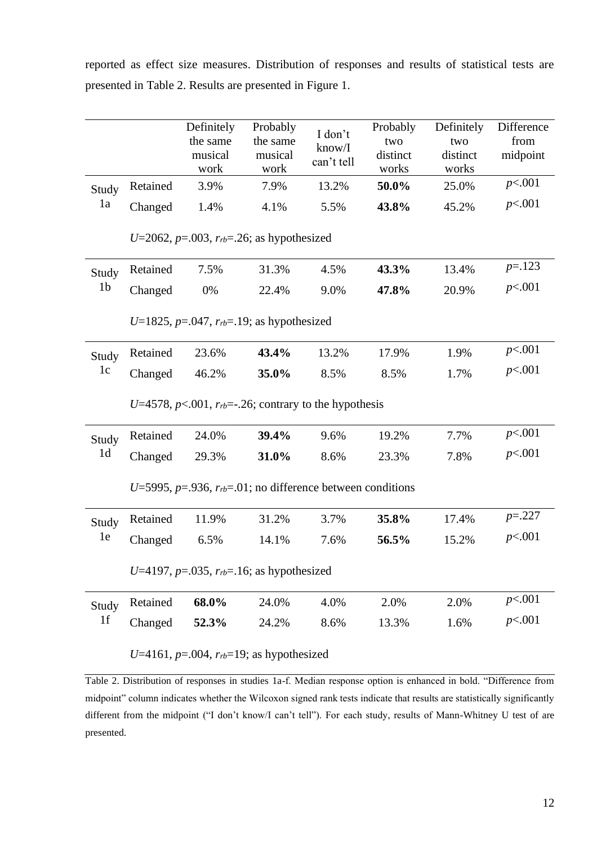reported as effect size measures. Distribution of responses and results of statistical tests are presented in Table 2. Results are presented in Figure 1.

|                |                                                                      | Definitely<br>the same<br>musical<br>work | Probably<br>the same<br>musical<br>work | I don't<br>know/I<br>can't tell | Probably<br>two<br>distinct<br>works | Definitely<br>two<br>distinct<br>works | Difference<br>from<br>midpoint |  |  |  |  |
|----------------|----------------------------------------------------------------------|-------------------------------------------|-----------------------------------------|---------------------------------|--------------------------------------|----------------------------------------|--------------------------------|--|--|--|--|
| Study          | Retained                                                             | 3.9%                                      | 7.9%                                    | 13.2%                           | 50.0%                                | 25.0%                                  | p<.001                         |  |  |  |  |
| 1a             | Changed                                                              | 1.4%                                      | 4.1%                                    | 5.5%                            | 43.8%                                | 45.2%                                  | p<.001                         |  |  |  |  |
|                | U=2062, $p=0.003$ , $r_{rb}=0.26$ ; as hypothesized                  |                                           |                                         |                                 |                                      |                                        |                                |  |  |  |  |
| Study          | Retained                                                             | 7.5%                                      | 31.3%                                   | 4.5%                            | 43.3%                                | 13.4%                                  | $p = 123$                      |  |  |  |  |
| 1 <sub>b</sub> | Changed                                                              | 0%                                        | 22.4%                                   | 9.0%                            | 47.8%                                | 20.9%                                  | p<.001                         |  |  |  |  |
|                | U=1825, $p=.047$ , $r_{rb}=.19$ ; as hypothesized                    |                                           |                                         |                                 |                                      |                                        |                                |  |  |  |  |
| Study<br>1c    | Retained                                                             | 23.6%                                     | 43.4%                                   | 13.2%                           | 17.9%                                | 1.9%                                   | p<.001                         |  |  |  |  |
|                | Changed                                                              | 46.2%                                     | 35.0%                                   | 8.5%                            | 8.5%                                 | 1.7%                                   | p<.001                         |  |  |  |  |
|                | U=4578, $p<.001$ , $r_{rb}=-.26$ ; contrary to the hypothesis        |                                           |                                         |                                 |                                      |                                        |                                |  |  |  |  |
| Study          | Retained                                                             | 24.0%                                     | 39.4%                                   | 9.6%                            | 19.2%                                | 7.7%                                   | p<.001                         |  |  |  |  |
| 1 <sub>d</sub> | Changed                                                              | 29.3%                                     | 31.0%                                   | 8.6%                            | 23.3%                                | 7.8%                                   | p<.001                         |  |  |  |  |
|                | U=5995, $p=0.936$ , $r_{rb}=0.01$ ; no difference between conditions |                                           |                                         |                                 |                                      |                                        |                                |  |  |  |  |
| Study<br>1e    | Retained                                                             | 11.9%                                     | 31.2%                                   | 3.7%                            | 35.8%                                | 17.4%                                  | $p=.227$                       |  |  |  |  |
|                | Changed                                                              | 6.5%                                      | 14.1%                                   | 7.6%                            | 56.5%                                | 15.2%                                  | p<.001                         |  |  |  |  |
|                | U=4197, $p=0.035$ , $r_b=0.16$ ; as hypothesized                     |                                           |                                         |                                 |                                      |                                        |                                |  |  |  |  |
| Study<br>1f    | Retained                                                             | 68.0%                                     | 24.0%                                   | 4.0%                            | 2.0%                                 | 2.0%                                   | p<.001                         |  |  |  |  |
|                | Changed                                                              | 52.3%                                     | 24.2%                                   | 8.6%                            | 13.3%                                | 1.6%                                   | p<.001                         |  |  |  |  |
|                | U=4161, $p=0.004$ , $r_{rb}=19$ ; as hypothesized                    |                                           |                                         |                                 |                                      |                                        |                                |  |  |  |  |

Table 2. Distribution of responses in studies 1a-f. Median response option is enhanced in bold. "Difference from midpoint" column indicates whether the Wilcoxon signed rank tests indicate that results are statistically significantly different from the midpoint ("I don't know/I can't tell"). For each study, results of Mann-Whitney U test of are presented.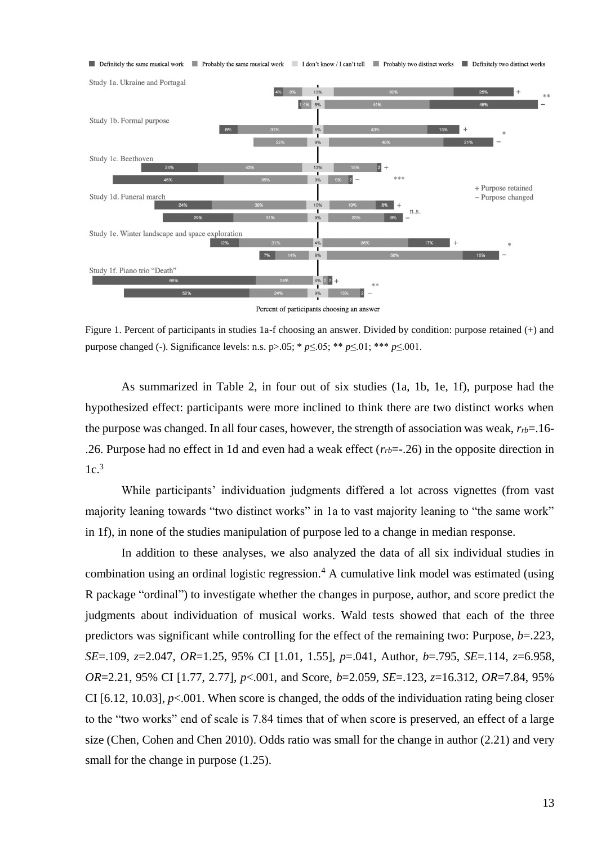

Percent of participants choosing an answer

Figure 1. Percent of participants in studies 1a-f choosing an answer. Divided by condition: purpose retained (+) and purpose changed (-). Significance levels: n.s. p>.05; \* *p*≤.05; \*\* *p*≤.01; \*\*\* *p*≤.001.

As summarized in Table 2, in four out of six studies (1a, 1b, 1e, 1f), purpose had the hypothesized effect: participants were more inclined to think there are two distinct works when the purpose was changed. In all four cases, however, the strength of association was weak, *rrb*=.16- .26. Purpose had no effect in 1d and even had a weak effect (*rrb*=-.26) in the opposite direction in  $1c<sup>3</sup>$ 

While participants' individuation judgments differed a lot across vignettes (from vast majority leaning towards "two distinct works" in 1a to vast majority leaning to "the same work" in 1f), in none of the studies manipulation of purpose led to a change in median response.

In addition to these analyses, we also analyzed the data of all six individual studies in combination using an ordinal logistic regression.<sup>4</sup> A cumulative link model was estimated (using R package "ordinal") to investigate whether the changes in purpose, author, and score predict the judgments about individuation of musical works. Wald tests showed that each of the three predictors was significant while controlling for the effect of the remaining two: Purpose, *b*=.223, *SE*=.109, *z*=2.047, *OR*=1.25, 95% CI [1.01, 1.55], *p*=.041, Author, *b*=.795, *SE*=.114, *z*=6.958, *OR*=2.21, 95% CI [1.77, 2.77], *p*<.001, and Score, *b*=2.059, *SE*=.123, *z*=16.312, *OR*=7.84, 95% CI [6.12, 10.03],  $p<0.01$ . When score is changed, the odds of the individuation rating being closer to the "two works" end of scale is 7.84 times that of when score is preserved, an effect of a large size (Chen, Cohen and Chen 2010). Odds ratio was small for the change in author (2.21) and very small for the change in purpose  $(1.25)$ .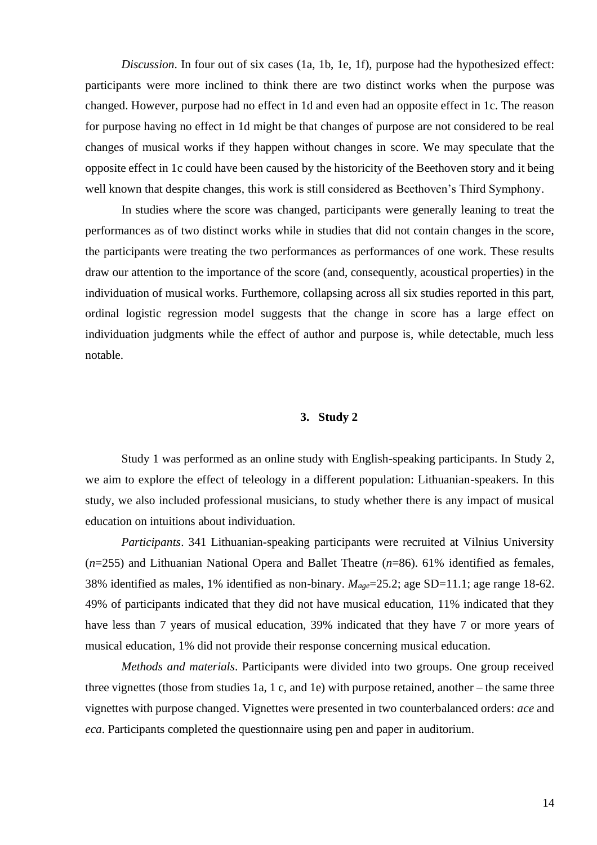*Discussion*. In four out of six cases (1a, 1b, 1e, 1f), purpose had the hypothesized effect: participants were more inclined to think there are two distinct works when the purpose was changed. However, purpose had no effect in 1d and even had an opposite effect in 1c. The reason for purpose having no effect in 1d might be that changes of purpose are not considered to be real changes of musical works if they happen without changes in score. We may speculate that the opposite effect in 1c could have been caused by the historicity of the Beethoven story and it being well known that despite changes, this work is still considered as Beethoven's Third Symphony.

In studies where the score was changed, participants were generally leaning to treat the performances as of two distinct works while in studies that did not contain changes in the score, the participants were treating the two performances as performances of one work. These results draw our attention to the importance of the score (and, consequently, acoustical properties) in the individuation of musical works. Furthemore, collapsing across all six studies reported in this part, ordinal logistic regression model suggests that the change in score has a large effect on individuation judgments while the effect of author and purpose is, while detectable, much less notable.

### **3. Study 2**

Study 1 was performed as an online study with English-speaking participants. In Study 2, we aim to explore the effect of teleology in a different population: Lithuanian-speakers. In this study, we also included professional musicians, to study whether there is any impact of musical education on intuitions about individuation.

*Participants*. 341 Lithuanian-speaking participants were recruited at Vilnius University (*n*=255) and Lithuanian National Opera and Ballet Theatre (*n*=86). 61% identified as females, 38% identified as males, 1% identified as non-binary. *Mage*=25.2; age SD=11.1; age range 18-62. 49% of participants indicated that they did not have musical education, 11% indicated that they have less than 7 years of musical education, 39% indicated that they have 7 or more years of musical education, 1% did not provide their response concerning musical education.

*Methods and materials*. Participants were divided into two groups. One group received three vignettes (those from studies 1a, 1 c, and 1e) with purpose retained, another – the same three vignettes with purpose changed. Vignettes were presented in two counterbalanced orders: *ace* and *eca*. Participants completed the questionnaire using pen and paper in auditorium.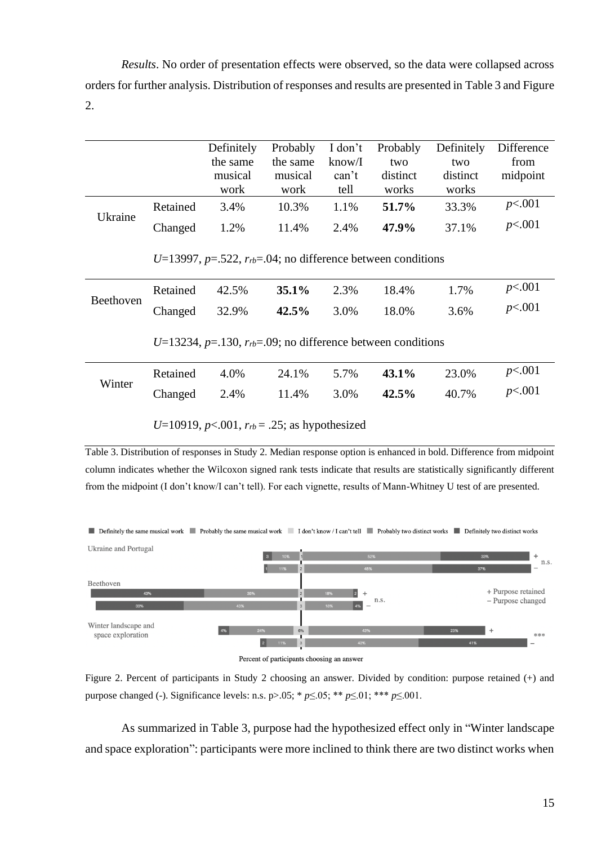*Results*. No order of presentation effects were observed, so the data were collapsed across orders for further analysis. Distribution of responses and results are presented in Table 3 and Figure 2.

|           |                                                                     | Definitely<br>the same<br>musical<br>work | Probably<br>the same<br>musical<br>work | I don't<br>know/I<br>can't<br>tell | Probably<br>two<br>distinct<br>works | Definitely<br>two<br>distinct<br>works | Difference<br>from<br>midpoint |  |  |
|-----------|---------------------------------------------------------------------|-------------------------------------------|-----------------------------------------|------------------------------------|--------------------------------------|----------------------------------------|--------------------------------|--|--|
|           | Retained                                                            | 3.4%                                      | 10.3%                                   | 1.1%                               | 51.7%                                | 33.3%                                  | p<.001                         |  |  |
| Ukraine   | Changed                                                             | 1.2%                                      | 11.4%                                   | 2.4%                               | 47.9%                                | 37.1%                                  | p<.001                         |  |  |
|           | U=13997, $p=.522$ , $r_{rb}=.04$ ; no difference between conditions |                                           |                                         |                                    |                                      |                                        |                                |  |  |
| Beethoven | Retained                                                            | 42.5%                                     | 35.1%                                   | 2.3%                               | 18.4%                                | 1.7%                                   | p<.001                         |  |  |
|           | Changed                                                             | 32.9%                                     | 42.5%                                   | 3.0%                               | 18.0%                                | 3.6%                                   | p<.001                         |  |  |
|           | U=13234, $p=130$ , $r_{rb}=0.09$ ; no difference between conditions |                                           |                                         |                                    |                                      |                                        |                                |  |  |
| Winter    | Retained                                                            | 4.0%                                      | 24.1%                                   | 5.7%                               | 43.1%                                | 23.0%                                  | p<.001                         |  |  |
|           | Changed                                                             | 2.4%                                      | 11.4%                                   | 3.0%                               | 42.5%                                | 40.7%                                  | p<.001                         |  |  |
|           | U=10919, $p<0.001$ , $r_{rb} = .25$ ; as hypothesized               |                                           |                                         |                                    |                                      |                                        |                                |  |  |

Table 3. Distribution of responses in Study 2. Median response option is enhanced in bold. Difference from midpoint column indicates whether the Wilcoxon signed rank tests indicate that results are statistically significantly different from the midpoint (I don't know/I can't tell). For each vignette, results of Mann-Whitney U test of are presented.





Figure 2. Percent of participants in Study 2 choosing an answer. Divided by condition: purpose retained (+) and purpose changed (-). Significance levels: n.s. p>.05; \* *p*≤.05; \*\* *p*≤.01; \*\*\* *p*≤.001.

As summarized in Table 3, purpose had the hypothesized effect only in "Winter landscape and space exploration": participants were more inclined to think there are two distinct works when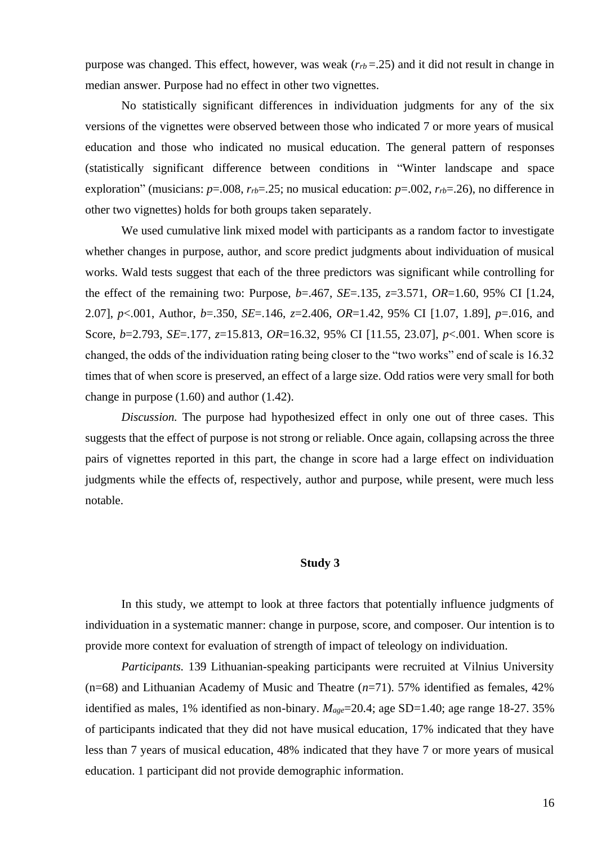purpose was changed. This effect, however, was weak  $(r_{rb} = .25)$  and it did not result in change in median answer. Purpose had no effect in other two vignettes.

No statistically significant differences in individuation judgments for any of the six versions of the vignettes were observed between those who indicated 7 or more years of musical education and those who indicated no musical education. The general pattern of responses (statistically significant difference between conditions in "Winter landscape and space exploration" (musicians:  $p=0.008$ ,  $r_{rb}=0.25$ ; no musical education:  $p=0.002$ ,  $r_{rb}=0.26$ ), no difference in other two vignettes) holds for both groups taken separately.

We used cumulative link mixed model with participants as a random factor to investigate whether changes in purpose, author, and score predict judgments about individuation of musical works. Wald tests suggest that each of the three predictors was significant while controlling for the effect of the remaining two: Purpose, *b*=.467, *SE*=.135, *z*=3.571, *OR*=1.60, 95% CI [1.24, 2.07], *p*<.001, Author, *b*=.350, *SE*=.146, *z*=2.406, *OR*=1.42, 95% CI [1.07, 1.89], *p*=.016, and Score, *b*=2.793, *SE*=.177, *z*=15.813, *OR*=16.32, 95% CI [11.55, 23.07], *p*<.001. When score is changed, the odds of the individuation rating being closer to the "two works" end of scale is 16.32 times that of when score is preserved, an effect of a large size. Odd ratios were very small for both change in purpose (1.60) and author (1.42).

*Discussion.* The purpose had hypothesized effect in only one out of three cases. This suggests that the effect of purpose is not strong or reliable. Once again, collapsing across the three pairs of vignettes reported in this part, the change in score had a large effect on individuation judgments while the effects of, respectively, author and purpose, while present, were much less notable.

#### **Study 3**

In this study, we attempt to look at three factors that potentially influence judgments of individuation in a systematic manner: change in purpose, score, and composer. Our intention is to provide more context for evaluation of strength of impact of teleology on individuation.

*Participants.* 139 Lithuanian-speaking participants were recruited at Vilnius University (n=68) and Lithuanian Academy of Music and Theatre (*n*=71). 57% identified as females, 42% identified as males, 1% identified as non-binary.  $M_{\text{age}} = 20.4$ ; age SD=1.40; age range 18-27. 35% of participants indicated that they did not have musical education, 17% indicated that they have less than 7 years of musical education, 48% indicated that they have 7 or more years of musical education. 1 participant did not provide demographic information.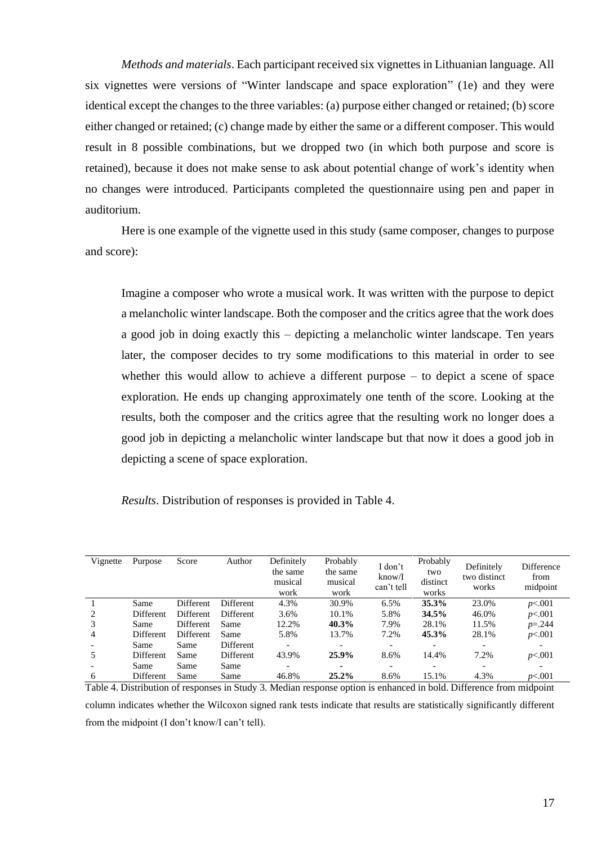*Methods and materials*. Each participant received six vignettes in Lithuanian language. All six vignettes were versions of "Winter landscape and space exploration" (1e) and they were identical except the changes to the three variables: (a) purpose either changed or retained; (b) score either changed or retained; (c) change made by either the same or a different composer. This would result in 8 possible combinations, but we dropped two (in which both purpose and score is retained), because it does not make sense to ask about potential change of work's identity when no changes were introduced. Participants completed the questionnaire using pen and paper in auditorium.

Here is one example of the vignette used in this study (same composer, changes to purpose and score):

Imagine a composer who wrote a musical work. It was written with the purpose to depict a melancholic winter landscape. Both the composer and the critics agree that the work does a good job in doing exactly this – depicting a melancholic winter landscape. Ten years later, the composer decides to try some modifications to this material in order to see whether this would allow to achieve a different purpose – to depict a scene of space exploration. He ends up changing approximately one tenth of the score. Looking at the results, both the composer and the critics agree that the resulting work no longer does a good job in depicting a melancholic winter landscape but that now it does a good job in depicting a scene of space exploration.

*Results*. Distribution of responses is provided in Table 4.

| Vignette | Purpose          | Score            | Author           | Definitely<br>the same<br>musical<br>work | Probably<br>the same<br>musical<br>work | I don't<br>know/I<br>can't tell | Probably<br>two<br>distinct<br>works | Definitely<br>two distinct<br>works | Difference<br>from<br>midpoint |
|----------|------------------|------------------|------------------|-------------------------------------------|-----------------------------------------|---------------------------------|--------------------------------------|-------------------------------------|--------------------------------|
|          | Same             | Different        | <b>Different</b> | 4.3%                                      | 30.9%                                   | 6.5%                            | 35.3%                                | 23.0%                               | p<.001                         |
| 2        | Different        | <b>Different</b> | <b>Different</b> | 3.6%                                      | 10.1%                                   | 5.8%                            | 34.5%                                | 46.0%                               | p<.001                         |
| 3        | Same             | <b>Different</b> | Same             | 12.2%                                     | 40.3%                                   | 7.9%                            | 28.1%                                | 11.5%                               | $p = 244$                      |
| 4        | <b>Different</b> | <b>Different</b> | Same             | 5.8%                                      | 13.7%                                   | 7.2%                            | 45.3%                                | 28.1%                               | p<.001                         |
|          | Same             | Same             | Different        |                                           | $\overline{\phantom{0}}$                | $\overline{\phantom{0}}$        |                                      | -                                   | $\overline{\phantom{a}}$       |
| 5        | <b>Different</b> | Same             | <b>Different</b> | 43.9%                                     | 25.9%                                   | 8.6%                            | 14.4%                                | 7.2%                                | p<.001                         |
|          | Same             | Same             | Same             |                                           | ۰                                       |                                 |                                      | $\overline{\phantom{0}}$            |                                |
| 6        | Different        | Same             | Same             | 46.8%                                     | 25.2%                                   | 8.6%                            | 15.1%                                | 4.3%                                | p<.001                         |

Table 4. Distribution of responses in Study 3. Median response option is enhanced in bold. Difference from midpoint column indicates whether the Wilcoxon signed rank tests indicate that results are statistically significantly different from the midpoint (I don't know/I can't tell).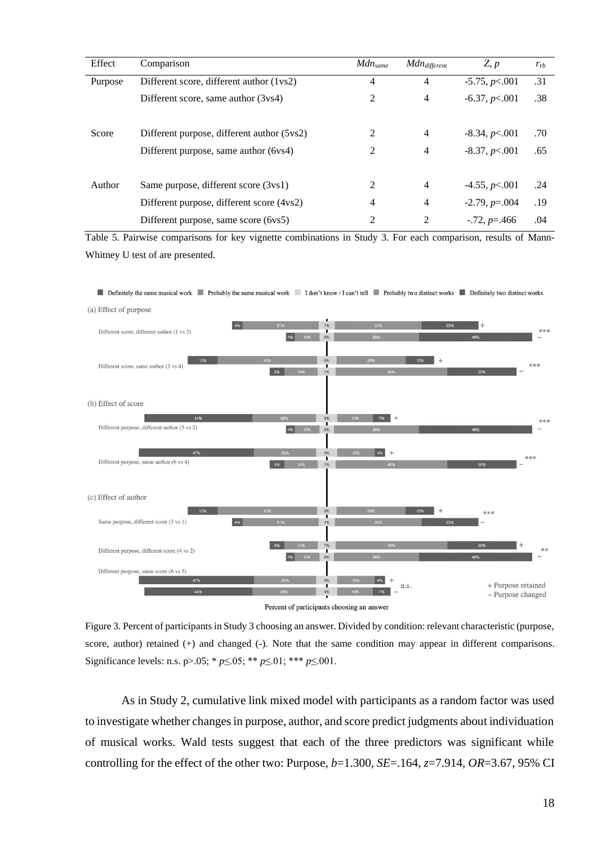| Effect  | Comparison                                 | $Mdn_{same}$ | Mdn <sub>different</sub> | Z, p               | $r_{rb}$ |
|---------|--------------------------------------------|--------------|--------------------------|--------------------|----------|
| Purpose | Different score, different author (1 vs2)  | 4            | $\overline{4}$           | $-5.75, p<.001$    | .31      |
|         | Different score, same author (3vs4)        | 2            | $\overline{4}$           | $-6.37, p<.001$    | .38      |
| Score   | Different purpose, different author (5vs2) | 2            | $\overline{4}$           | $-8.34, p<.001$    | .70      |
|         | Different purpose, same author (6vs4)      | 2            | $\overline{4}$           | $-8.37, p<.001$    | .65      |
| Author  | Same purpose, different score (3vs1)       | 2            | $\overline{4}$           | $-4.55, p<.001$    | .24      |
|         | Different purpose, different score (4vs2)  | 4            | $\overline{4}$           | $-2.79, p = 0.004$ | .19      |
|         | Different purpose, same score (6vs5)       | 2            | 2                        | $-0.72, p = 0.466$ | .04      |

Table 5. Pairwise comparisons for key vignette combinations in Study 3. For each comparison, results of Mann-Whitney U test of are presented.



Figure 3. Percent of participants in Study 3 choosing an answer. Divided by condition: relevant characteristic (purpose, score, author) retained (+) and changed (-). Note that the same condition may appear in different comparisons. Significance levels: n.s. p>.05; \* *p*≤.05; \*\* *p*≤.01; \*\*\* *p*≤.001.

As in Study 2, cumulative link mixed model with participants as a random factor was used to investigate whether changes in purpose, author, and score predict judgments about individuation of musical works. Wald tests suggest that each of the three predictors was significant while controlling for the effect of the other two: Purpose,  $b=1.300$ ,  $SE=.164$ ,  $z=7.914$ ,  $OR=3.67$ , 95% CI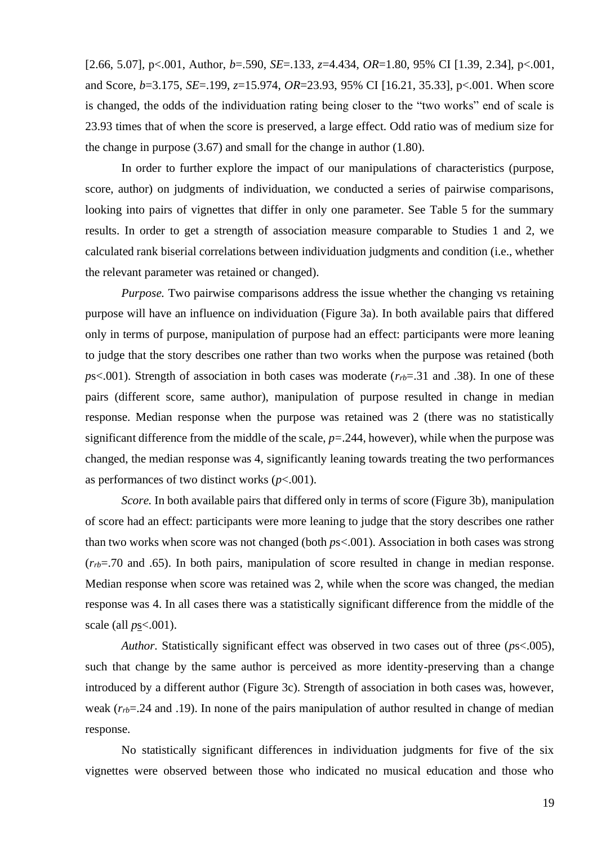[2.66, 5.07], p<.001, Author, *b*=.590, *SE*=.133, *z*=4.434, *OR*=1.80, 95% CI [1.39, 2.34], p<.001, and Score, *b*=3.175, *SE*=.199, *z*=15.974, *OR*=23.93, 95% CI [16.21, 35.33], p<.001. When score is changed, the odds of the individuation rating being closer to the "two works" end of scale is 23.93 times that of when the score is preserved, a large effect. Odd ratio was of medium size for the change in purpose (3.67) and small for the change in author (1.80).

In order to further explore the impact of our manipulations of characteristics (purpose, score, author) on judgments of individuation, we conducted a series of pairwise comparisons, looking into pairs of vignettes that differ in only one parameter. See Table 5 for the summary results. In order to get a strength of association measure comparable to Studies 1 and 2, we calculated rank biserial correlations between individuation judgments and condition (i.e., whether the relevant parameter was retained or changed).

*Purpose.* Two pairwise comparisons address the issue whether the changing vs retaining purpose will have an influence on individuation (Figure 3a). In both available pairs that differed only in terms of purpose, manipulation of purpose had an effect: participants were more leaning to judge that the story describes one rather than two works when the purpose was retained (both *p*s<.001). Strength of association in both cases was moderate (*rrb*=.31 and .38). In one of these pairs (different score, same author), manipulation of purpose resulted in change in median response. Median response when the purpose was retained was 2 (there was no statistically significant difference from the middle of the scale, *p*=.244, however), while when the purpose was changed, the median response was 4, significantly leaning towards treating the two performances as performances of two distinct works (*p*<.001).

*Score.* In both available pairs that differed only in terms of score (Figure 3b), manipulation of score had an effect: participants were more leaning to judge that the story describes one rather than two works when score was not changed (both *p*s<.001). Association in both cases was strong (*rrb*=.70 and .65). In both pairs, manipulation of score resulted in change in median response. Median response when score was retained was 2, while when the score was changed, the median response was 4. In all cases there was a statistically significant difference from the middle of the scale (all *p*s<.001).

*Author.* Statistically significant effect was observed in two cases out of three (*p*s<.005), such that change by the same author is perceived as more identity-preserving than a change introduced by a different author (Figure 3c). Strength of association in both cases was, however, weak ( $r<sub>rb</sub>=.24$  and .19). In none of the pairs manipulation of author resulted in change of median response.

No statistically significant differences in individuation judgments for five of the six vignettes were observed between those who indicated no musical education and those who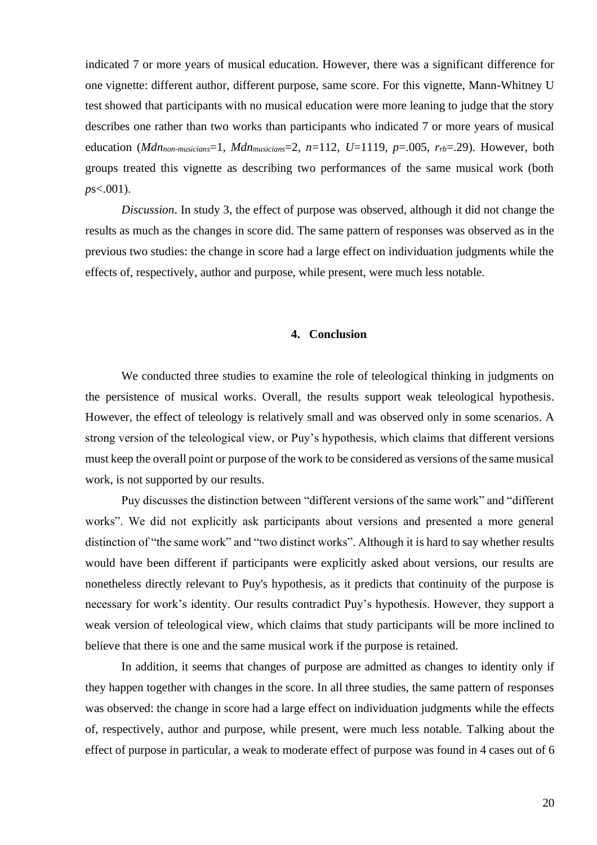indicated 7 or more years of musical education. However, there was a significant difference for one vignette: different author, different purpose, same score. For this vignette, Mann-Whitney U test showed that participants with no musical education were more leaning to judge that the story describes one rather than two works than participants who indicated 7 or more years of musical education (*Mdnnon-musicians*=1, *Mdnmusicians*=2, *n*=112, *U*=1119, *p*=.005, *rrb*=.29). However, both groups treated this vignette as describing two performances of the same musical work (both *p*s<.001).

*Discussion*. In study 3, the effect of purpose was observed, although it did not change the results as much as the changes in score did. The same pattern of responses was observed as in the previous two studies: the change in score had a large effect on individuation judgments while the effects of, respectively, author and purpose, while present, were much less notable.

#### **4. Conclusion**

We conducted three studies to examine the role of teleological thinking in judgments on the persistence of musical works. Overall, the results support weak teleological hypothesis. However, the effect of teleology is relatively small and was observed only in some scenarios. A strong version of the teleological view, or Puy's hypothesis, which claims that different versions must keep the overall point or purpose of the work to be considered as versions of the same musical work, is not supported by our results.

Puy discusses the distinction between "different versions of the same work" and "different works". We did not explicitly ask participants about versions and presented a more general distinction of "the same work" and "two distinct works". Although it is hard to say whether results would have been different if participants were explicitly asked about versions, our results are nonetheless directly relevant to Puy's hypothesis, as it predicts that continuity of the purpose is necessary for work's identity. Our results contradict Puy's hypothesis. However, they support a weak version of teleological view, which claims that study participants will be more inclined to believe that there is one and the same musical work if the purpose is retained.

In addition, it seems that changes of purpose are admitted as changes to identity only if they happen together with changes in the score. In all three studies, the same pattern of responses was observed: the change in score had a large effect on individuation judgments while the effects of, respectively, author and purpose, while present, were much less notable. Talking about the effect of purpose in particular, a weak to moderate effect of purpose was found in 4 cases out of 6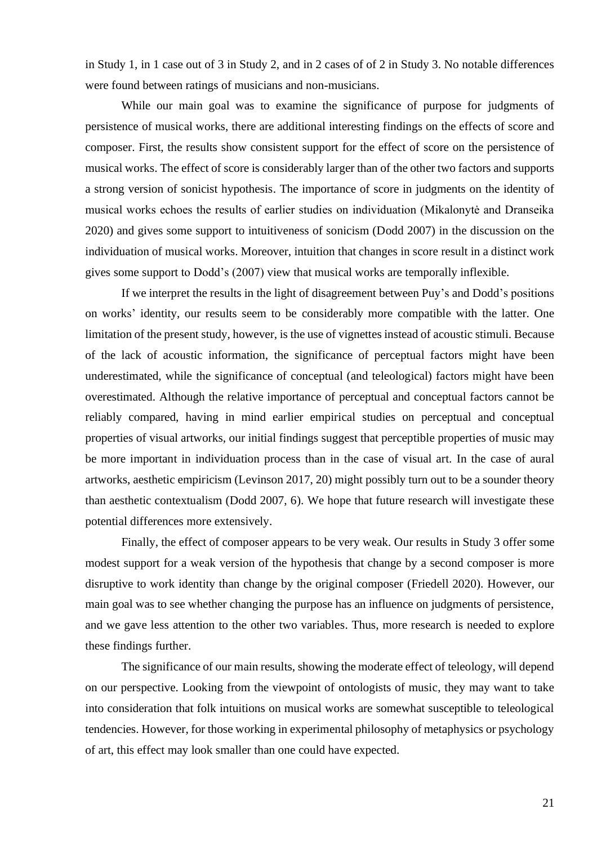in Study 1, in 1 case out of 3 in Study 2, and in 2 cases of of 2 in Study 3. No notable differences were found between ratings of musicians and non-musicians.

While our main goal was to examine the significance of purpose for judgments of persistence of musical works, there are additional interesting findings on the effects of score and composer. First, the results show consistent support for the effect of score on the persistence of musical works. The effect of score is considerably larger than of the other two factors and supports a strong version of sonicist hypothesis. The importance of score in judgments on the identity of musical works echoes the results of earlier studies on individuation (Mikalonytė and Dranseika 2020) and gives some support to intuitiveness of sonicism (Dodd 2007) in the discussion on the individuation of musical works. Moreover, intuition that changes in score result in a distinct work gives some support to Dodd's (2007) view that musical works are temporally inflexible.

If we interpret the results in the light of disagreement between Puy's and Dodd's positions on works' identity, our results seem to be considerably more compatible with the latter. One limitation of the present study, however, is the use of vignettes instead of acoustic stimuli. Because of the lack of acoustic information, the significance of perceptual factors might have been underestimated, while the significance of conceptual (and teleological) factors might have been overestimated. Although the relative importance of perceptual and conceptual factors cannot be reliably compared, having in mind earlier empirical studies on perceptual and conceptual properties of visual artworks, our initial findings suggest that perceptible properties of music may be more important in individuation process than in the case of visual art. In the case of aural artworks, aesthetic empiricism (Levinson 2017, 20) might possibly turn out to be a sounder theory than aesthetic contextualism (Dodd 2007, 6). We hope that future research will investigate these potential differences more extensively.

Finally, the effect of composer appears to be very weak. Our results in Study 3 offer some modest support for a weak version of the hypothesis that change by a second composer is more disruptive to work identity than change by the original composer (Friedell 2020). However, our main goal was to see whether changing the purpose has an influence on judgments of persistence, and we gave less attention to the other two variables. Thus, more research is needed to explore these findings further.

The significance of our main results, showing the moderate effect of teleology, will depend on our perspective. Looking from the viewpoint of ontologists of music, they may want to take into consideration that folk intuitions on musical works are somewhat susceptible to teleological tendencies. However, for those working in experimental philosophy of metaphysics or psychology of art, this effect may look smaller than one could have expected.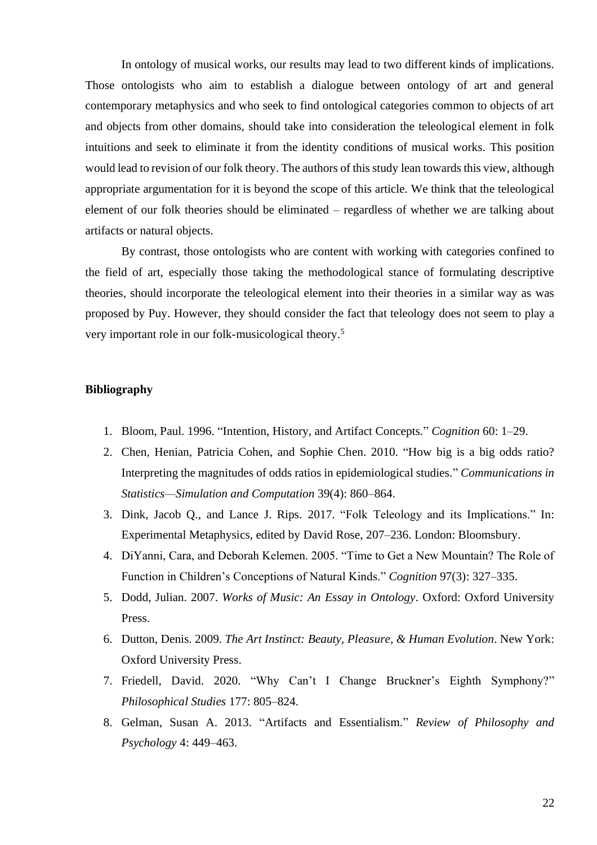In ontology of musical works, our results may lead to two different kinds of implications. Those ontologists who aim to establish a dialogue between ontology of art and general contemporary metaphysics and who seek to find ontological categories common to objects of art and objects from other domains, should take into consideration the teleological element in folk intuitions and seek to eliminate it from the identity conditions of musical works. This position would lead to revision of our folk theory. The authors of this study lean towards this view, although appropriate argumentation for it is beyond the scope of this article. We think that the teleological element of our folk theories should be eliminated – regardless of whether we are talking about artifacts or natural objects.

By contrast, those ontologists who are content with working with categories confined to the field of art, especially those taking the methodological stance of formulating descriptive theories, should incorporate the teleological element into their theories in a similar way as was proposed by Puy. However, they should consider the fact that teleology does not seem to play a very important role in our folk-musicological theory. 5

# **Bibliography**

- 1. Bloom, Paul. 1996. "Intention, History, and Artifact Concepts." *Cognition* 60: 1–29.
- 2. Chen, Henian, Patricia Cohen, and Sophie Chen. 2010. "How big is a big odds ratio? Interpreting the magnitudes of odds ratios in epidemiological studies." *Communications in Statistics—Simulation and Computation* 39(4): 860–864.
- 3. Dink, Jacob Q., and Lance J. Rips. 2017. "Folk Teleology and its Implications." In: Experimental Metaphysics, edited by David Rose, 207–236. London: Bloomsbury.
- 4. DiYanni, Cara, and Deborah Kelemen. 2005. "Time to Get a New Mountain? The Role of Function in Children's Conceptions of Natural Kinds." *Cognition* 97(3): 327–335.
- 5. Dodd, Julian. 2007. *Works of Music: An Essay in Ontology*. Oxford: Oxford University Press.
- 6. Dutton, Denis. 2009. *The Art Instinct: Beauty, Pleasure, & Human Evolution*. New York: Oxford University Press.
- 7. Friedell, David. 2020. "Why Can't I Change Bruckner's Eighth Symphony?" *Philosophical Studies* 177: 805–824.
- 8. Gelman, Susan A. 2013. "Artifacts and Essentialism." *Review of Philosophy and Psychology* 4: 449–463.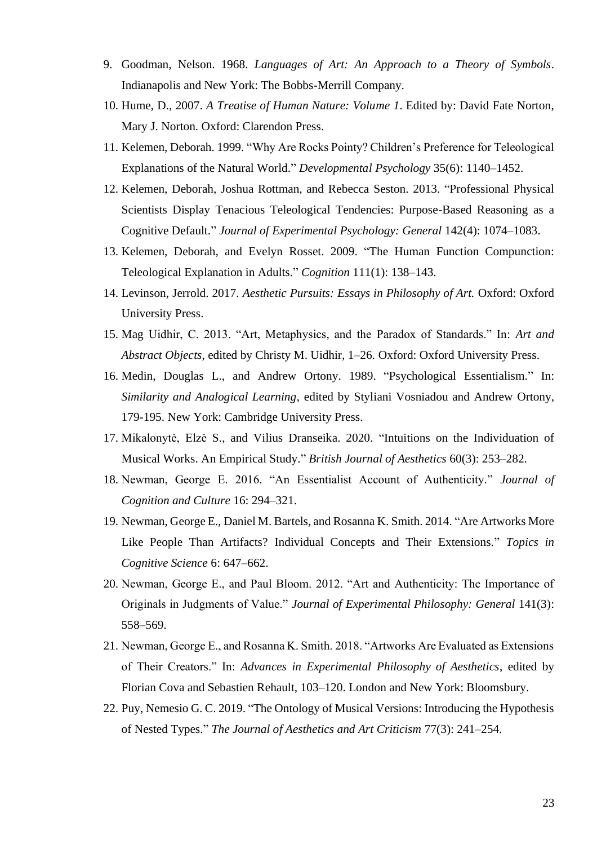- 9. Goodman, Nelson. 1968. *Languages of Art: An Approach to a Theory of Symbols*. Indianapolis and New York: The Bobbs-Merrill Company.
- 10. Hume, D., 2007. *A Treatise of Human Nature: Volume 1*. Edited by: David Fate Norton, Mary J. Norton. Oxford: Clarendon Press.
- 11. Kelemen, Deborah. 1999. "Why Are Rocks Pointy? Children's Preference for Teleological Explanations of the Natural World." *Developmental Psychology* 35(6): 1140–1452.
- 12. Kelemen, Deborah, Joshua Rottman, and Rebecca Seston. 2013. "Professional Physical Scientists Display Tenacious Teleological Tendencies: Purpose-Based Reasoning as a Cognitive Default." *Journal of Experimental Psychology: General* 142(4): 1074–1083.
- 13. Kelemen, Deborah, and Evelyn Rosset. 2009. "The Human Function Compunction: Teleological Explanation in Adults." *Cognition* 111(1): 138–143.
- 14. Levinson, Jerrold. 2017. *Aesthetic Pursuits: Essays in Philosophy of Art.* Oxford: Oxford University Press.
- 15. Mag Uidhir, C. 2013. "Art, Metaphysics, and the Paradox of Standards." In: *Art and Abstract Objects*, edited by Christy M. Uidhir, 1–26. Oxford: Oxford University Press.
- 16. Medin, Douglas L., and Andrew Ortony. 1989. "Psychological Essentialism." In: *Similarity and Analogical Learning*, edited by Styliani Vosniadou and Andrew Ortony, 179-195. New York: Cambridge University Press.
- 17. Mikalonytė, Elzė S., and Vilius Dranseika. 2020. "Intuitions on the Individuation of Musical Works. An Empirical Study." *British Journal of Aesthetics* 60(3): 253–282.
- 18. Newman, George E. 2016. "An Essentialist Account of Authenticity." *Journal of Cognition and Culture* 16: 294–321.
- 19. Newman, George E., Daniel M. Bartels, and Rosanna K. Smith. 2014. "Are Artworks More Like People Than Artifacts? Individual Concepts and Their Extensions." *Topics in Cognitive Science* 6: 647–662.
- 20. Newman, George E., and Paul Bloom. 2012. "Art and Authenticity: The Importance of Originals in Judgments of Value." *Journal of Experimental Philosophy: General* 141(3): 558–569.
- 21. Newman, George E., and Rosanna K. Smith. 2018. "Artworks Are Evaluated as Extensions of Their Creators." In: *Advances in Experimental Philosophy of Aesthetics*, edited by Florian Cova and Sebastien Rehault, 103–120. London and New York: Bloomsbury.
- 22. Puy, Nemesio G. C. 2019. "The Ontology of Musical Versions: Introducing the Hypothesis of Nested Types." *The Journal of Aesthetics and Art Criticism* 77(3): 241–254.